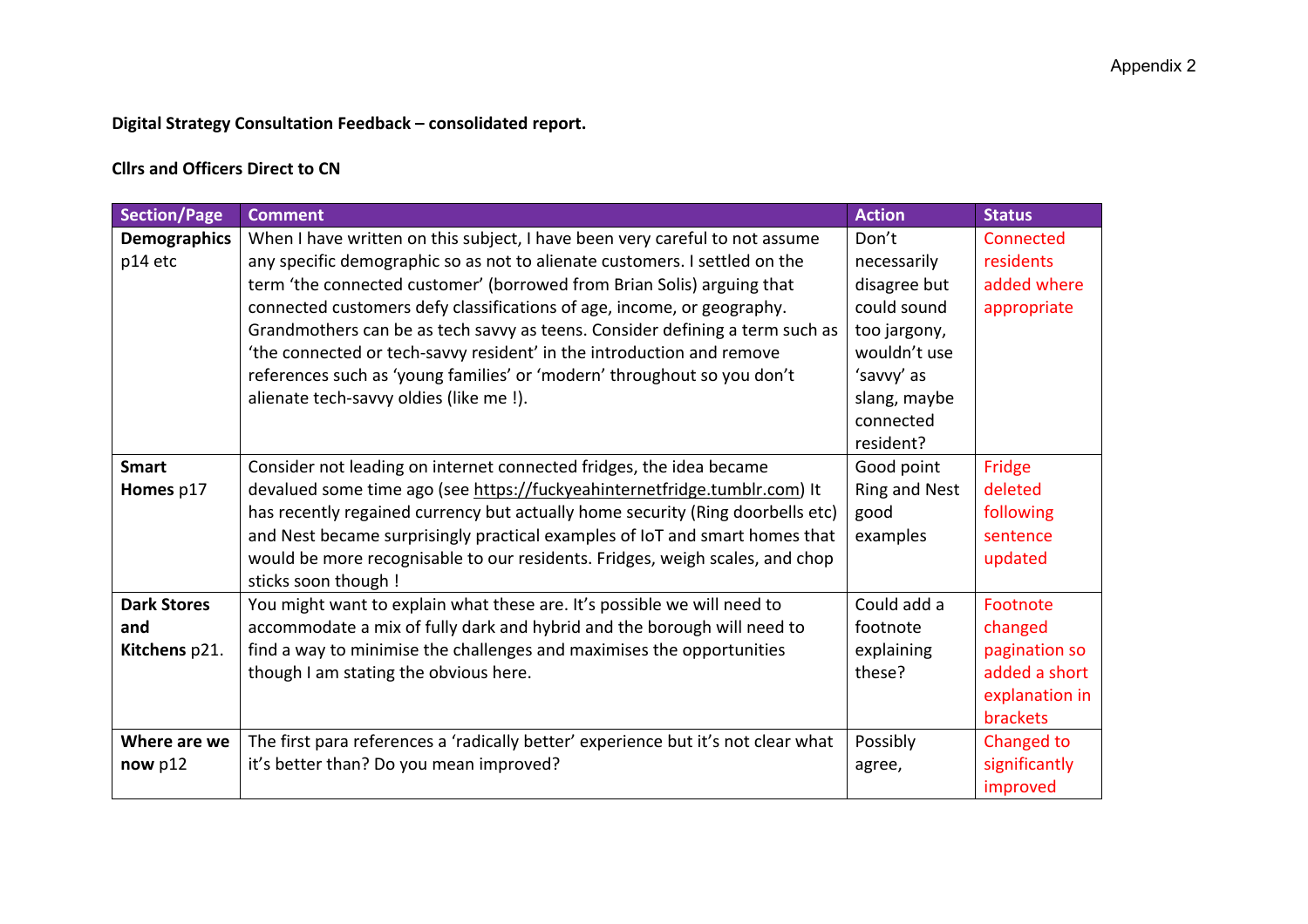## **Digital Strategy Consultation Feedback – consolidated report.**

## **Cllrs and Officers Direct to CN**

| <b>Section/Page</b>                        | <b>Comment</b>                                                                                                                                                                                                                                                                                                                                                                                                                                                                                                                                                                               | <b>Action</b>                                                                                                                               | <b>Status</b>                                                                              |
|--------------------------------------------|----------------------------------------------------------------------------------------------------------------------------------------------------------------------------------------------------------------------------------------------------------------------------------------------------------------------------------------------------------------------------------------------------------------------------------------------------------------------------------------------------------------------------------------------------------------------------------------------|---------------------------------------------------------------------------------------------------------------------------------------------|--------------------------------------------------------------------------------------------|
| <b>Demographics</b><br>p14 etc             | When I have written on this subject, I have been very careful to not assume<br>any specific demographic so as not to alienate customers. I settled on the<br>term 'the connected customer' (borrowed from Brian Solis) arguing that<br>connected customers defy classifications of age, income, or geography.<br>Grandmothers can be as tech savvy as teens. Consider defining a term such as<br>'the connected or tech-savvy resident' in the introduction and remove<br>references such as 'young families' or 'modern' throughout so you don't<br>alienate tech-savvy oldies (like me !). | Don't<br>necessarily<br>disagree but<br>could sound<br>too jargony,<br>wouldn't use<br>'savvy' as<br>slang, maybe<br>connected<br>resident? | Connected<br>residents<br>added where<br>appropriate                                       |
| <b>Smart</b><br>Homes p17                  | Consider not leading on internet connected fridges, the idea became<br>devalued some time ago (see https://fuckyeahinternetfridge.tumblr.com) It<br>has recently regained currency but actually home security (Ring doorbells etc)<br>and Nest became surprisingly practical examples of IoT and smart homes that<br>would be more recognisable to our residents. Fridges, weigh scales, and chop<br>sticks soon though !                                                                                                                                                                    | Good point<br><b>Ring and Nest</b><br>good<br>examples                                                                                      | Fridge<br>deleted<br>following<br>sentence<br>updated                                      |
| <b>Dark Stores</b><br>and<br>Kitchens p21. | You might want to explain what these are. It's possible we will need to<br>accommodate a mix of fully dark and hybrid and the borough will need to<br>find a way to minimise the challenges and maximises the opportunities<br>though I am stating the obvious here.                                                                                                                                                                                                                                                                                                                         | Could add a<br>footnote<br>explaining<br>these?                                                                                             | Footnote<br>changed<br>pagination so<br>added a short<br>explanation in<br><b>brackets</b> |
| Where are we<br>now $p12$                  | The first para references a 'radically better' experience but it's not clear what<br>it's better than? Do you mean improved?                                                                                                                                                                                                                                                                                                                                                                                                                                                                 | Possibly<br>agree,                                                                                                                          | Changed to<br>significantly<br>improved                                                    |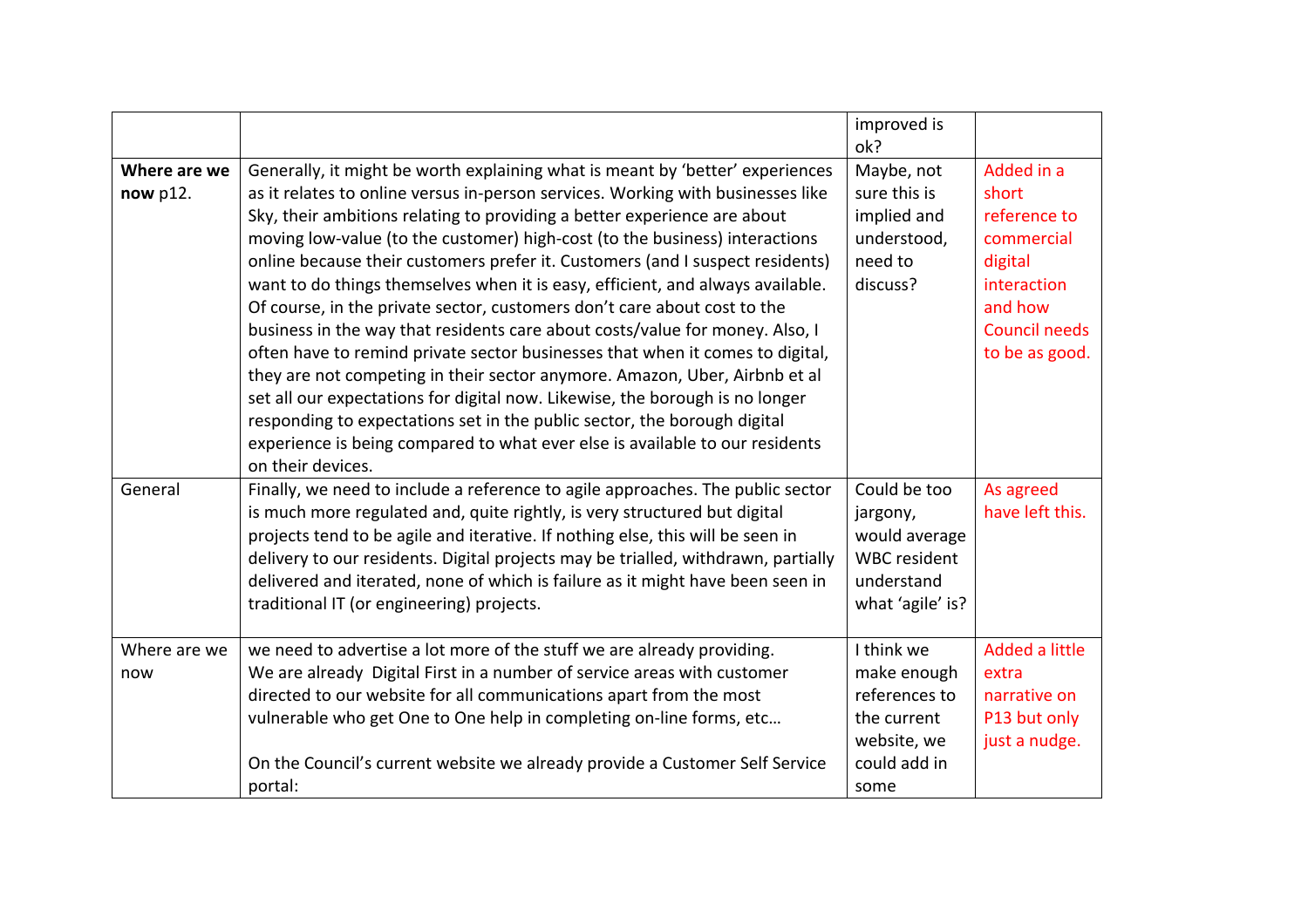|                             |                                                                                                                                                                                                                                                                                                                                                                                                                                                                                                                                                                                                                                                                                                                                                                                                                                                                                                                                                                                                                                                                                            | improved is<br>ok?                                                                                 |                                                                                                                                  |
|-----------------------------|--------------------------------------------------------------------------------------------------------------------------------------------------------------------------------------------------------------------------------------------------------------------------------------------------------------------------------------------------------------------------------------------------------------------------------------------------------------------------------------------------------------------------------------------------------------------------------------------------------------------------------------------------------------------------------------------------------------------------------------------------------------------------------------------------------------------------------------------------------------------------------------------------------------------------------------------------------------------------------------------------------------------------------------------------------------------------------------------|----------------------------------------------------------------------------------------------------|----------------------------------------------------------------------------------------------------------------------------------|
| Where are we<br>now $p12$ . | Generally, it might be worth explaining what is meant by 'better' experiences<br>as it relates to online versus in-person services. Working with businesses like<br>Sky, their ambitions relating to providing a better experience are about<br>moving low-value (to the customer) high-cost (to the business) interactions<br>online because their customers prefer it. Customers (and I suspect residents)<br>want to do things themselves when it is easy, efficient, and always available.<br>Of course, in the private sector, customers don't care about cost to the<br>business in the way that residents care about costs/value for money. Also, I<br>often have to remind private sector businesses that when it comes to digital,<br>they are not competing in their sector anymore. Amazon, Uber, Airbnb et al<br>set all our expectations for digital now. Likewise, the borough is no longer<br>responding to expectations set in the public sector, the borough digital<br>experience is being compared to what ever else is available to our residents<br>on their devices. | Maybe, not<br>sure this is<br>implied and<br>understood,<br>need to<br>discuss?                    | Added in a<br>short<br>reference to<br>commercial<br>digital<br>interaction<br>and how<br><b>Council needs</b><br>to be as good. |
| General                     | Finally, we need to include a reference to agile approaches. The public sector<br>is much more regulated and, quite rightly, is very structured but digital<br>projects tend to be agile and iterative. If nothing else, this will be seen in<br>delivery to our residents. Digital projects may be trialled, withdrawn, partially<br>delivered and iterated, none of which is failure as it might have been seen in<br>traditional IT (or engineering) projects.                                                                                                                                                                                                                                                                                                                                                                                                                                                                                                                                                                                                                          | Could be too<br>jargony,<br>would average<br><b>WBC</b> resident<br>understand<br>what 'agile' is? | As agreed<br>have left this.                                                                                                     |
| Where are we<br>now         | we need to advertise a lot more of the stuff we are already providing.<br>We are already Digital First in a number of service areas with customer<br>directed to our website for all communications apart from the most<br>vulnerable who get One to One help in completing on-line forms, etc<br>On the Council's current website we already provide a Customer Self Service<br>portal:                                                                                                                                                                                                                                                                                                                                                                                                                                                                                                                                                                                                                                                                                                   | I think we<br>make enough<br>references to<br>the current<br>website, we<br>could add in<br>some   | Added a little<br>extra<br>narrative on<br>P13 but only<br>just a nudge.                                                         |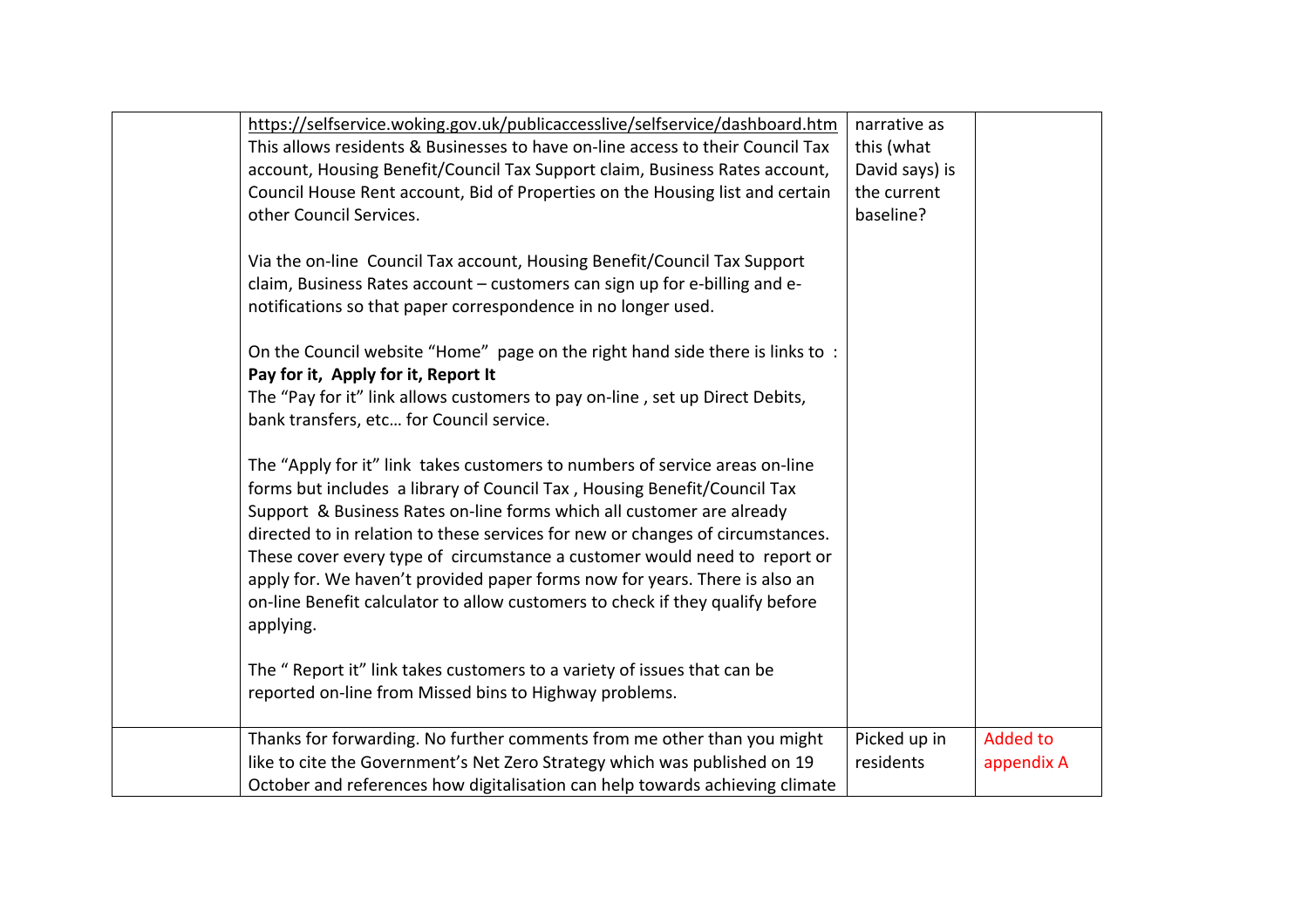| https://selfservice.woking.gov.uk/publicaccesslive/selfservice/dashboard.htm   | narrative as   |                 |
|--------------------------------------------------------------------------------|----------------|-----------------|
| This allows residents & Businesses to have on-line access to their Council Tax | this (what     |                 |
| account, Housing Benefit/Council Tax Support claim, Business Rates account,    | David says) is |                 |
| Council House Rent account, Bid of Properties on the Housing list and certain  | the current    |                 |
| other Council Services.                                                        | baseline?      |                 |
|                                                                                |                |                 |
| Via the on-line Council Tax account, Housing Benefit/Council Tax Support       |                |                 |
| claim, Business Rates account - customers can sign up for e-billing and e-     |                |                 |
| notifications so that paper correspondence in no longer used.                  |                |                 |
|                                                                                |                |                 |
| On the Council website "Home" page on the right hand side there is links to :  |                |                 |
| Pay for it, Apply for it, Report It                                            |                |                 |
| The "Pay for it" link allows customers to pay on-line, set up Direct Debits,   |                |                 |
|                                                                                |                |                 |
| bank transfers, etc for Council service.                                       |                |                 |
| The "Apply for it" link takes customers to numbers of service areas on-line    |                |                 |
| forms but includes a library of Council Tax, Housing Benefit/Council Tax       |                |                 |
| Support & Business Rates on-line forms which all customer are already          |                |                 |
|                                                                                |                |                 |
| directed to in relation to these services for new or changes of circumstances. |                |                 |
| These cover every type of circumstance a customer would need to report or      |                |                 |
| apply for. We haven't provided paper forms now for years. There is also an     |                |                 |
| on-line Benefit calculator to allow customers to check if they qualify before  |                |                 |
| applying.                                                                      |                |                 |
|                                                                                |                |                 |
| The " Report it" link takes customers to a variety of issues that can be       |                |                 |
| reported on-line from Missed bins to Highway problems.                         |                |                 |
|                                                                                |                |                 |
| Thanks for forwarding. No further comments from me other than you might        | Picked up in   | <b>Added to</b> |
| like to cite the Government's Net Zero Strategy which was published on 19      | residents      | appendix A      |
| October and references how digitalisation can help towards achieving climate   |                |                 |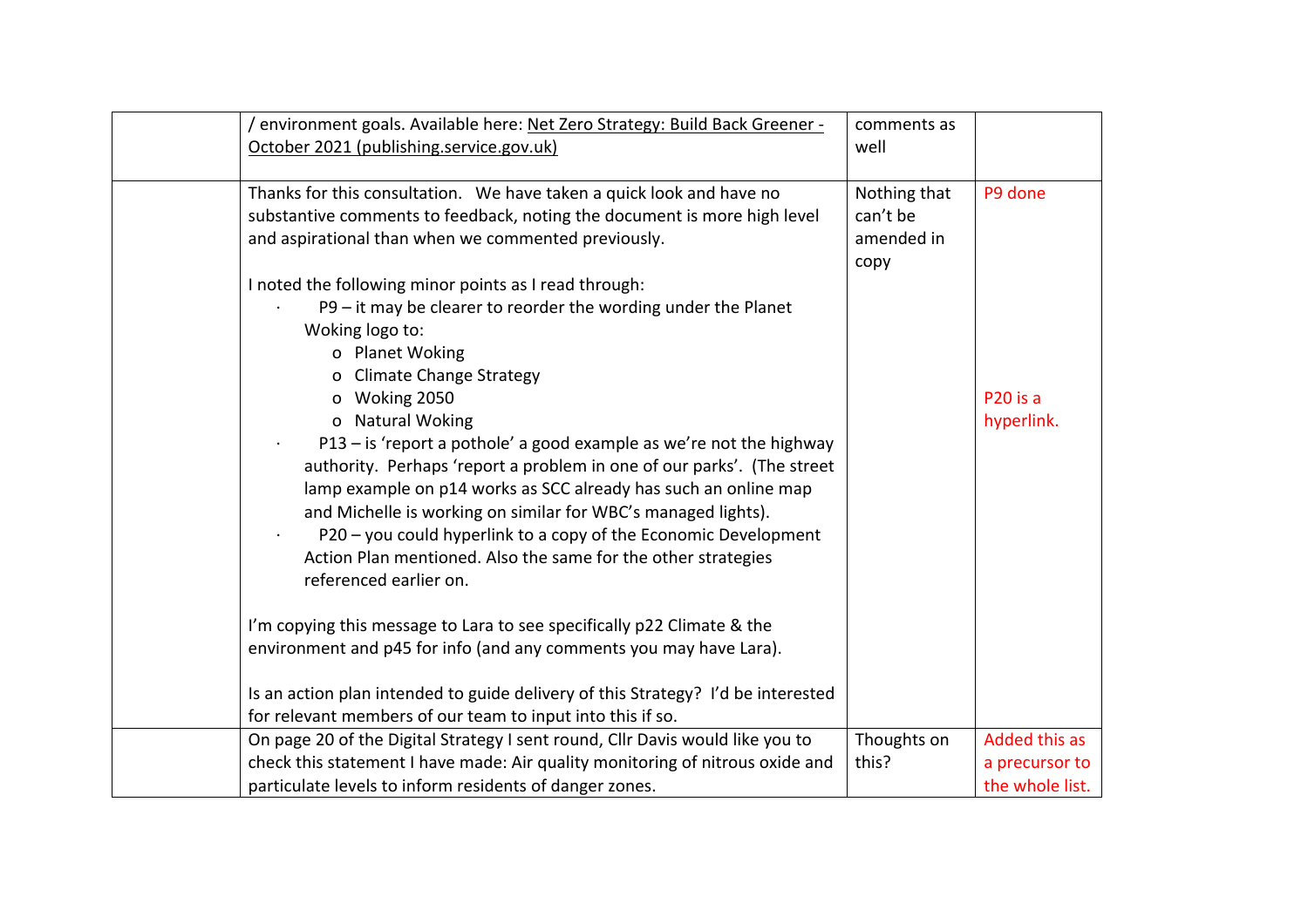| / environment goals. Available here: Net Zero Strategy: Build Back Greener -<br>October 2021 (publishing.service.gov.uk)                                                                                                                                                                                                                                                                                                                                                                                                                                                                                                                                                           | comments as<br>well                            |                                                    |
|------------------------------------------------------------------------------------------------------------------------------------------------------------------------------------------------------------------------------------------------------------------------------------------------------------------------------------------------------------------------------------------------------------------------------------------------------------------------------------------------------------------------------------------------------------------------------------------------------------------------------------------------------------------------------------|------------------------------------------------|----------------------------------------------------|
| Thanks for this consultation. We have taken a quick look and have no<br>substantive comments to feedback, noting the document is more high level<br>and aspirational than when we commented previously.                                                                                                                                                                                                                                                                                                                                                                                                                                                                            | Nothing that<br>can't be<br>amended in<br>copy | P9 done                                            |
| I noted the following minor points as I read through:<br>P9 - it may be clearer to reorder the wording under the Planet<br>Woking logo to:<br>o Planet Woking<br>o Climate Change Strategy<br>o Woking 2050<br>o Natural Woking<br>P13 – is 'report a pothole' a good example as we're not the highway<br>authority. Perhaps 'report a problem in one of our parks'. (The street<br>lamp example on p14 works as SCC already has such an online map<br>and Michelle is working on similar for WBC's managed lights).<br>P20 - you could hyperlink to a copy of the Economic Development<br>Action Plan mentioned. Also the same for the other strategies<br>referenced earlier on. |                                                | P <sub>20</sub> is a<br>hyperlink.                 |
| I'm copying this message to Lara to see specifically p22 Climate & the<br>environment and p45 for info (and any comments you may have Lara).                                                                                                                                                                                                                                                                                                                                                                                                                                                                                                                                       |                                                |                                                    |
| Is an action plan intended to guide delivery of this Strategy? I'd be interested<br>for relevant members of our team to input into this if so.                                                                                                                                                                                                                                                                                                                                                                                                                                                                                                                                     |                                                |                                                    |
| On page 20 of the Digital Strategy I sent round, Cllr Davis would like you to<br>check this statement I have made: Air quality monitoring of nitrous oxide and<br>particulate levels to inform residents of danger zones.                                                                                                                                                                                                                                                                                                                                                                                                                                                          | Thoughts on<br>this?                           | Added this as<br>a precursor to<br>the whole list. |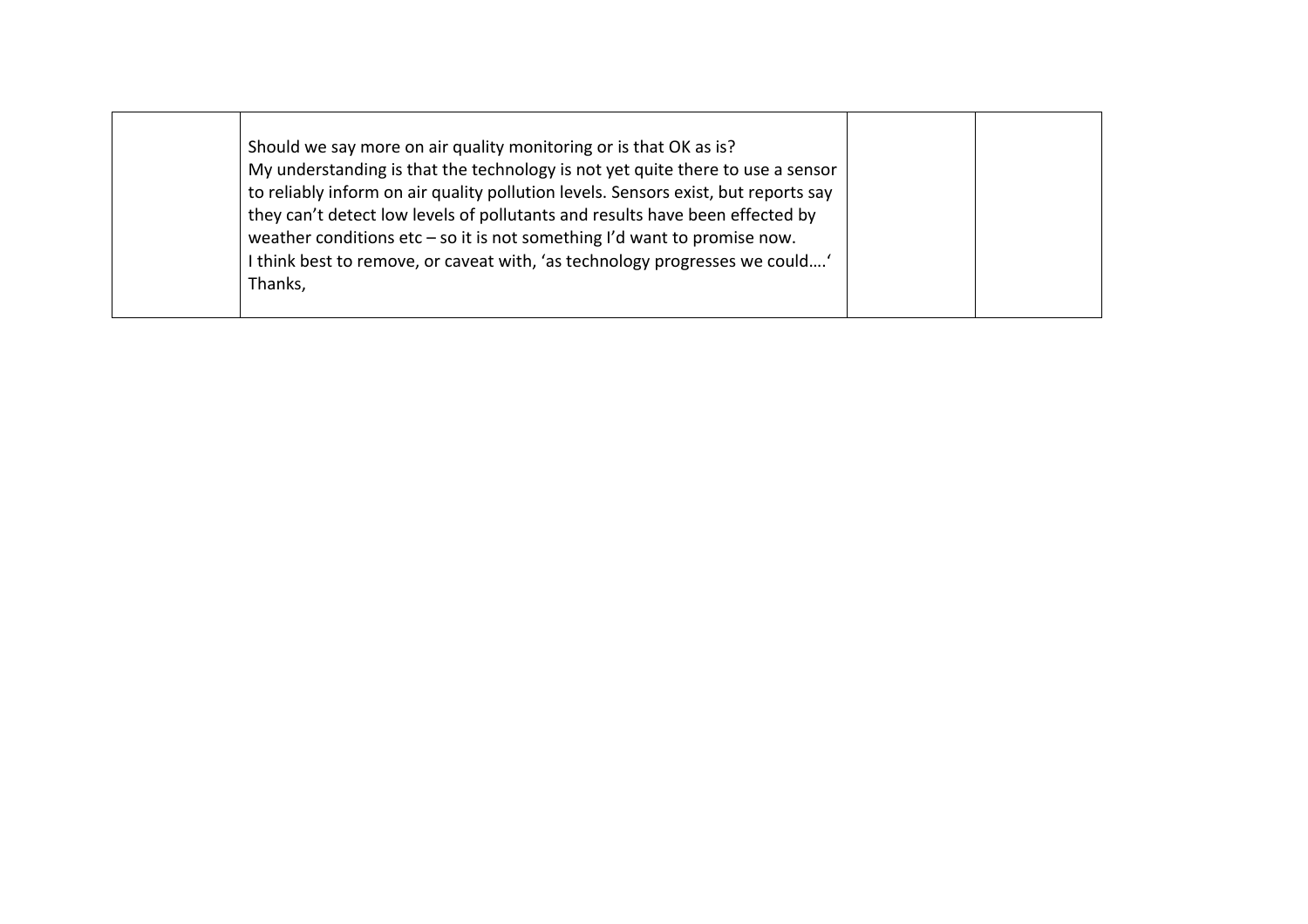| Should we say more on air quality monitoring or is that OK as is?<br>My understanding is that the technology is not yet quite there to use a sensor<br>to reliably inform on air quality pollution levels. Sensors exist, but reports say<br>they can't detect low levels of pollutants and results have been effected by<br>weather conditions $etc - so$ it is not something I'd want to promise now.<br>I think best to remove, or caveat with, 'as technology progresses we could'<br>Thanks, |  |  |
|---------------------------------------------------------------------------------------------------------------------------------------------------------------------------------------------------------------------------------------------------------------------------------------------------------------------------------------------------------------------------------------------------------------------------------------------------------------------------------------------------|--|--|
|---------------------------------------------------------------------------------------------------------------------------------------------------------------------------------------------------------------------------------------------------------------------------------------------------------------------------------------------------------------------------------------------------------------------------------------------------------------------------------------------------|--|--|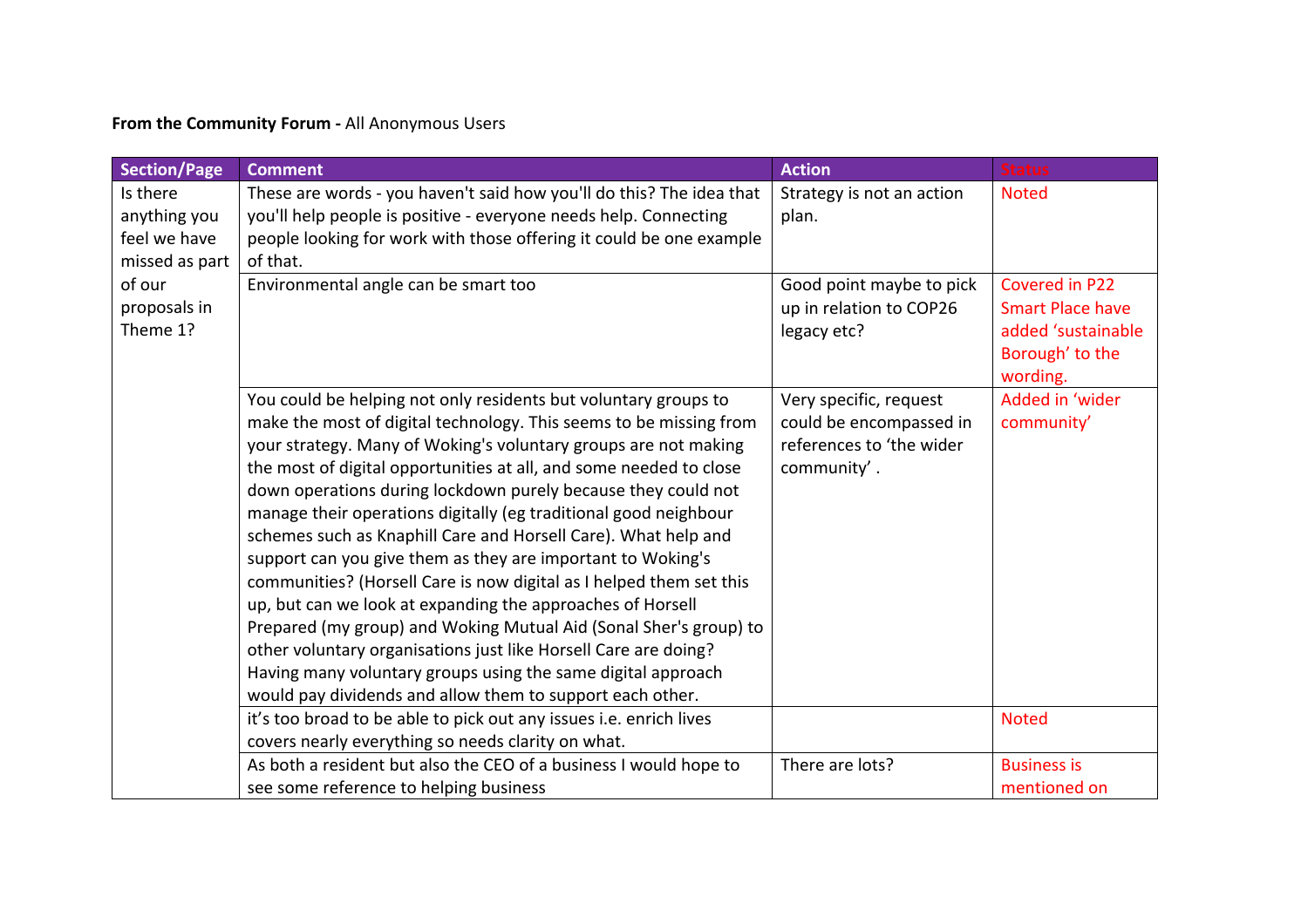## **From the Community Forum -** All Anonymous Users

| <b>Section/Page</b> | <b>Comment</b>                                                       | <b>Action</b>             | <b>Status</b>           |
|---------------------|----------------------------------------------------------------------|---------------------------|-------------------------|
| Is there            | These are words - you haven't said how you'll do this? The idea that | Strategy is not an action | <b>Noted</b>            |
| anything you        | you'll help people is positive - everyone needs help. Connecting     | plan.                     |                         |
| feel we have        | people looking for work with those offering it could be one example  |                           |                         |
| missed as part      | of that.                                                             |                           |                         |
| of our              | Environmental angle can be smart too                                 | Good point maybe to pick  | Covered in P22          |
| proposals in        |                                                                      | up in relation to COP26   | <b>Smart Place have</b> |
| Theme 1?            |                                                                      | legacy etc?               | added 'sustainable      |
|                     |                                                                      |                           | Borough' to the         |
|                     |                                                                      |                           | wording.                |
|                     | You could be helping not only residents but voluntary groups to      | Very specific, request    | Added in 'wider         |
|                     | make the most of digital technology. This seems to be missing from   | could be encompassed in   | community'              |
|                     | your strategy. Many of Woking's voluntary groups are not making      | references to 'the wider  |                         |
|                     | the most of digital opportunities at all, and some needed to close   | community'.               |                         |
|                     | down operations during lockdown purely because they could not        |                           |                         |
|                     | manage their operations digitally (eg traditional good neighbour     |                           |                         |
|                     | schemes such as Knaphill Care and Horsell Care). What help and       |                           |                         |
|                     | support can you give them as they are important to Woking's          |                           |                         |
|                     | communities? (Horsell Care is now digital as I helped them set this  |                           |                         |
|                     | up, but can we look at expanding the approaches of Horsell           |                           |                         |
|                     | Prepared (my group) and Woking Mutual Aid (Sonal Sher's group) to    |                           |                         |
|                     | other voluntary organisations just like Horsell Care are doing?      |                           |                         |
|                     | Having many voluntary groups using the same digital approach         |                           |                         |
|                     | would pay dividends and allow them to support each other.            |                           |                         |
|                     | it's too broad to be able to pick out any issues i.e. enrich lives   |                           | <b>Noted</b>            |
|                     | covers nearly everything so needs clarity on what.                   |                           |                         |
|                     | As both a resident but also the CEO of a business I would hope to    | There are lots?           | <b>Business is</b>      |
|                     | see some reference to helping business                               |                           | mentioned on            |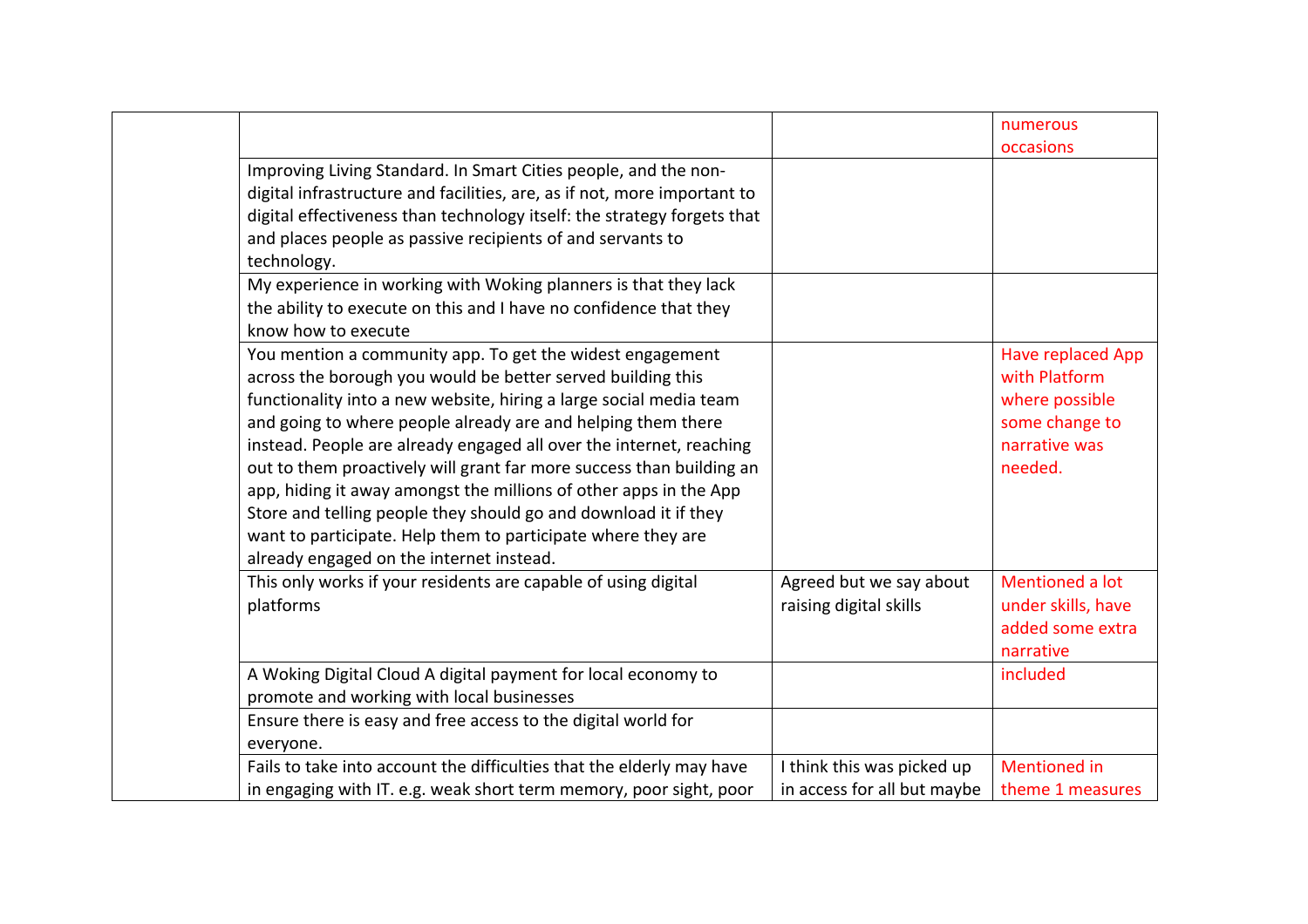|                                                                                                                                                                                                                                                                                                                                                                                                                                                                                                                                                                                                                                                                   |                                                   | numerous                                                                                                  |
|-------------------------------------------------------------------------------------------------------------------------------------------------------------------------------------------------------------------------------------------------------------------------------------------------------------------------------------------------------------------------------------------------------------------------------------------------------------------------------------------------------------------------------------------------------------------------------------------------------------------------------------------------------------------|---------------------------------------------------|-----------------------------------------------------------------------------------------------------------|
|                                                                                                                                                                                                                                                                                                                                                                                                                                                                                                                                                                                                                                                                   |                                                   | occasions                                                                                                 |
| Improving Living Standard. In Smart Cities people, and the non-<br>digital infrastructure and facilities, are, as if not, more important to<br>digital effectiveness than technology itself: the strategy forgets that                                                                                                                                                                                                                                                                                                                                                                                                                                            |                                                   |                                                                                                           |
| and places people as passive recipients of and servants to<br>technology.                                                                                                                                                                                                                                                                                                                                                                                                                                                                                                                                                                                         |                                                   |                                                                                                           |
| My experience in working with Woking planners is that they lack<br>the ability to execute on this and I have no confidence that they<br>know how to execute                                                                                                                                                                                                                                                                                                                                                                                                                                                                                                       |                                                   |                                                                                                           |
| You mention a community app. To get the widest engagement<br>across the borough you would be better served building this<br>functionality into a new website, hiring a large social media team<br>and going to where people already are and helping them there<br>instead. People are already engaged all over the internet, reaching<br>out to them proactively will grant far more success than building an<br>app, hiding it away amongst the millions of other apps in the App<br>Store and telling people they should go and download it if they<br>want to participate. Help them to participate where they are<br>already engaged on the internet instead. |                                                   | <b>Have replaced App</b><br>with Platform<br>where possible<br>some change to<br>narrative was<br>needed. |
| This only works if your residents are capable of using digital<br>platforms                                                                                                                                                                                                                                                                                                                                                                                                                                                                                                                                                                                       | Agreed but we say about<br>raising digital skills | Mentioned a lot<br>under skills, have<br>added some extra<br>narrative                                    |
| A Woking Digital Cloud A digital payment for local economy to<br>promote and working with local businesses                                                                                                                                                                                                                                                                                                                                                                                                                                                                                                                                                        |                                                   | included                                                                                                  |
| Ensure there is easy and free access to the digital world for<br>everyone.                                                                                                                                                                                                                                                                                                                                                                                                                                                                                                                                                                                        |                                                   |                                                                                                           |
| Fails to take into account the difficulties that the elderly may have                                                                                                                                                                                                                                                                                                                                                                                                                                                                                                                                                                                             | I think this was picked up                        | <b>Mentioned</b> in                                                                                       |
| in engaging with IT. e.g. weak short term memory, poor sight, poor                                                                                                                                                                                                                                                                                                                                                                                                                                                                                                                                                                                                | in access for all but maybe                       | theme 1 measures                                                                                          |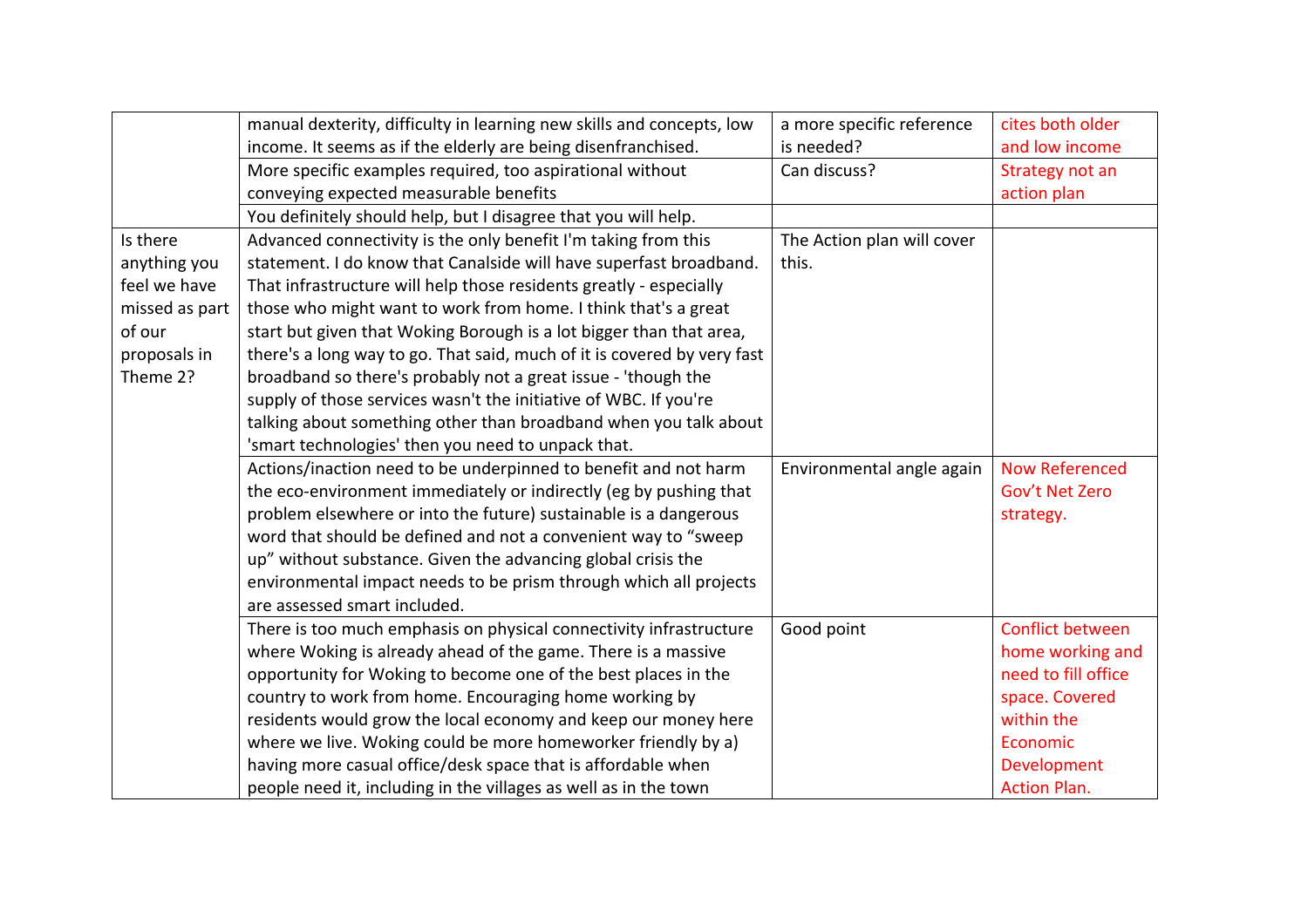|                | manual dexterity, difficulty in learning new skills and concepts, low   | a more specific reference  | cites both older      |
|----------------|-------------------------------------------------------------------------|----------------------------|-----------------------|
|                | income. It seems as if the elderly are being disenfranchised.           | is needed?                 | and low income        |
|                | More specific examples required, too aspirational without               | Can discuss?               | Strategy not an       |
|                | conveying expected measurable benefits                                  |                            | action plan           |
|                | You definitely should help, but I disagree that you will help.          |                            |                       |
| Is there       | Advanced connectivity is the only benefit I'm taking from this          | The Action plan will cover |                       |
| anything you   | statement. I do know that Canalside will have superfast broadband.      | this.                      |                       |
| feel we have   | That infrastructure will help those residents greatly - especially      |                            |                       |
| missed as part | those who might want to work from home. I think that's a great          |                            |                       |
| of our         | start but given that Woking Borough is a lot bigger than that area,     |                            |                       |
| proposals in   | there's a long way to go. That said, much of it is covered by very fast |                            |                       |
| Theme 2?       | broadband so there's probably not a great issue - 'though the           |                            |                       |
|                | supply of those services wasn't the initiative of WBC. If you're        |                            |                       |
|                | talking about something other than broadband when you talk about        |                            |                       |
|                | 'smart technologies' then you need to unpack that.                      |                            |                       |
|                | Actions/inaction need to be underpinned to benefit and not harm         | Environmental angle again  | <b>Now Referenced</b> |
|                | the eco-environment immediately or indirectly (eg by pushing that       |                            | Gov't Net Zero        |
|                | problem elsewhere or into the future) sustainable is a dangerous        |                            | strategy.             |
|                | word that should be defined and not a convenient way to "sweep          |                            |                       |
|                | up" without substance. Given the advancing global crisis the            |                            |                       |
|                | environmental impact needs to be prism through which all projects       |                            |                       |
|                | are assessed smart included.                                            |                            |                       |
|                | There is too much emphasis on physical connectivity infrastructure      | Good point                 | Conflict between      |
|                | where Woking is already ahead of the game. There is a massive           |                            | home working and      |
|                | opportunity for Woking to become one of the best places in the          |                            | need to fill office   |
|                | country to work from home. Encouraging home working by                  |                            | space. Covered        |
|                | residents would grow the local economy and keep our money here          |                            | within the            |
|                | where we live. Woking could be more homeworker friendly by a)           |                            | Economic              |
|                | having more casual office/desk space that is affordable when            |                            | Development           |
|                | people need it, including in the villages as well as in the town        |                            | <b>Action Plan.</b>   |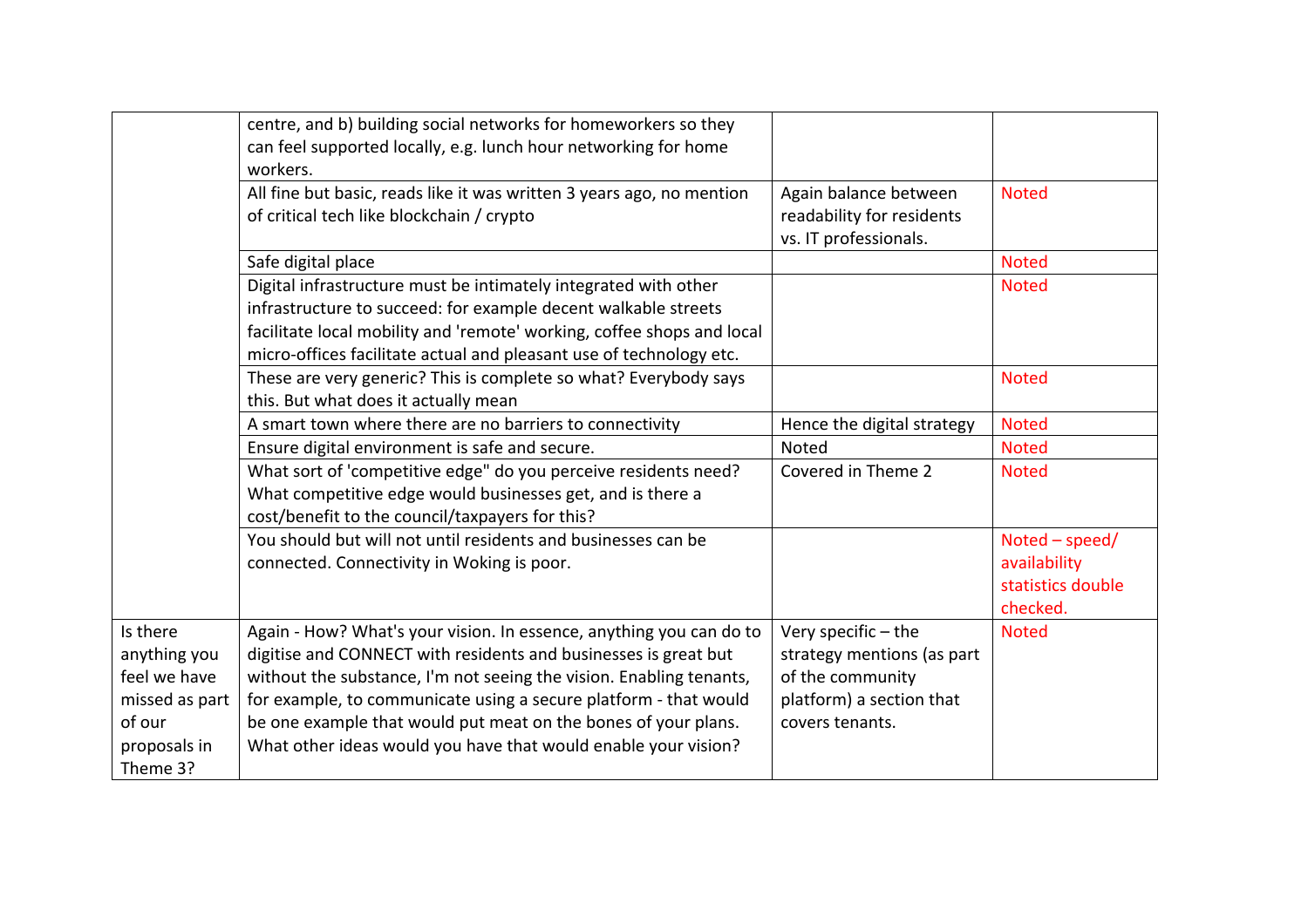|                                                                                                  | centre, and b) building social networks for homeworkers so they<br>can feel supported locally, e.g. lunch hour networking for home<br>workers.                                                                                                                                                                                                                                                                        |                                                                                                                      |                                                                   |
|--------------------------------------------------------------------------------------------------|-----------------------------------------------------------------------------------------------------------------------------------------------------------------------------------------------------------------------------------------------------------------------------------------------------------------------------------------------------------------------------------------------------------------------|----------------------------------------------------------------------------------------------------------------------|-------------------------------------------------------------------|
|                                                                                                  | All fine but basic, reads like it was written 3 years ago, no mention<br>of critical tech like blockchain / crypto                                                                                                                                                                                                                                                                                                    | Again balance between<br>readability for residents<br>vs. IT professionals.                                          | <b>Noted</b>                                                      |
|                                                                                                  | Safe digital place                                                                                                                                                                                                                                                                                                                                                                                                    |                                                                                                                      | <b>Noted</b>                                                      |
|                                                                                                  | Digital infrastructure must be intimately integrated with other<br>infrastructure to succeed: for example decent walkable streets<br>facilitate local mobility and 'remote' working, coffee shops and local<br>micro-offices facilitate actual and pleasant use of technology etc.                                                                                                                                    |                                                                                                                      | <b>Noted</b>                                                      |
|                                                                                                  | These are very generic? This is complete so what? Everybody says<br>this. But what does it actually mean                                                                                                                                                                                                                                                                                                              |                                                                                                                      | <b>Noted</b>                                                      |
|                                                                                                  | A smart town where there are no barriers to connectivity                                                                                                                                                                                                                                                                                                                                                              | Hence the digital strategy                                                                                           | <b>Noted</b>                                                      |
|                                                                                                  | Ensure digital environment is safe and secure.                                                                                                                                                                                                                                                                                                                                                                        | Noted                                                                                                                | <b>Noted</b>                                                      |
|                                                                                                  | What sort of 'competitive edge" do you perceive residents need?<br>What competitive edge would businesses get, and is there a<br>cost/benefit to the council/taxpayers for this?                                                                                                                                                                                                                                      | Covered in Theme 2                                                                                                   | <b>Noted</b>                                                      |
|                                                                                                  | You should but will not until residents and businesses can be<br>connected. Connectivity in Woking is poor.                                                                                                                                                                                                                                                                                                           |                                                                                                                      | $Noted - speed/$<br>availability<br>statistics double<br>checked. |
| Is there<br>anything you<br>feel we have<br>missed as part<br>of our<br>proposals in<br>Theme 3? | Again - How? What's your vision. In essence, anything you can do to<br>digitise and CONNECT with residents and businesses is great but<br>without the substance, I'm not seeing the vision. Enabling tenants,<br>for example, to communicate using a secure platform - that would<br>be one example that would put meat on the bones of your plans.<br>What other ideas would you have that would enable your vision? | Very specific - the<br>strategy mentions (as part<br>of the community<br>platform) a section that<br>covers tenants. | <b>Noted</b>                                                      |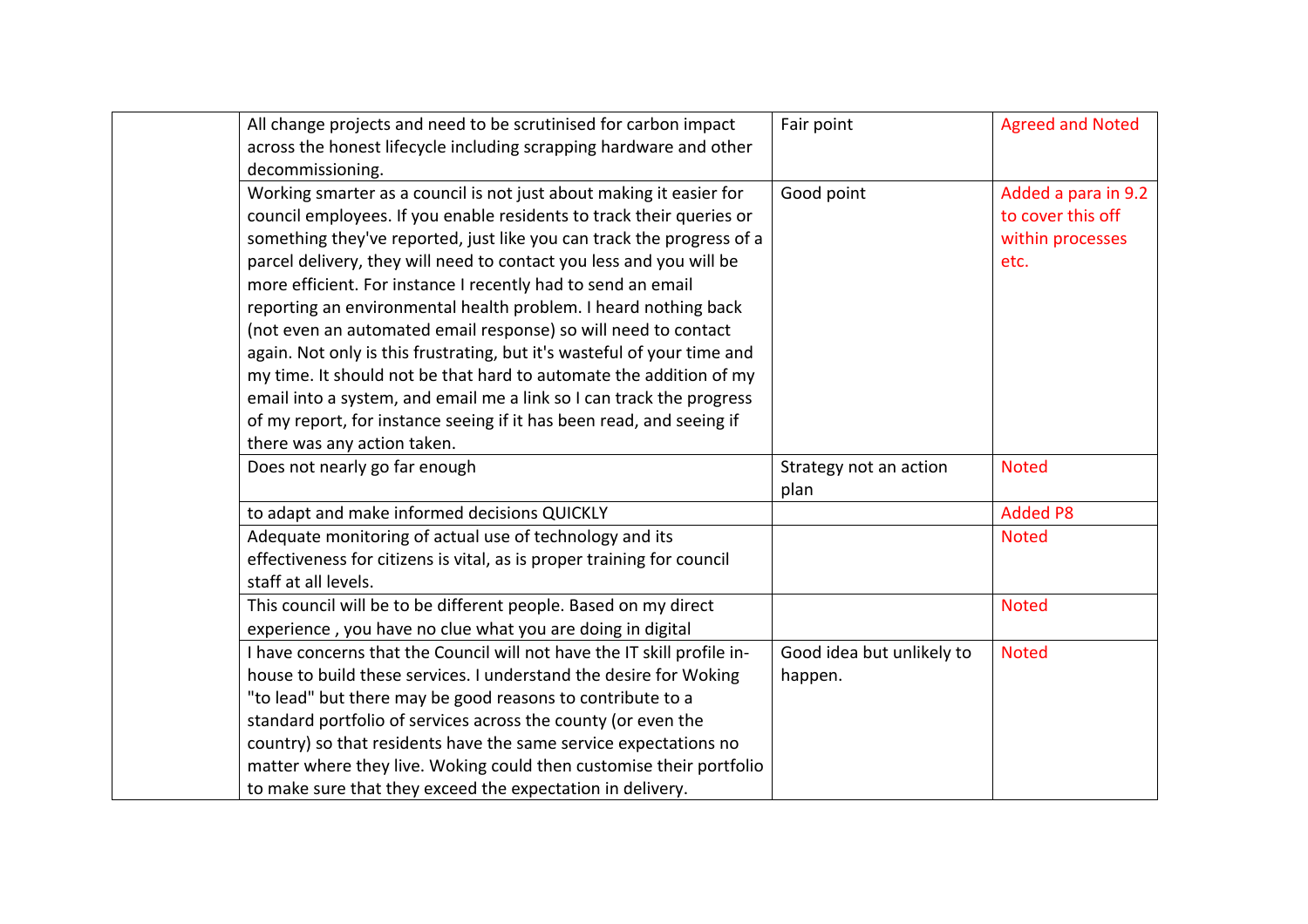| All change projects and need to be scrutinised for carbon impact        | Fair point                | <b>Agreed and Noted</b> |
|-------------------------------------------------------------------------|---------------------------|-------------------------|
| across the honest lifecycle including scrapping hardware and other      |                           |                         |
| decommissioning.                                                        |                           |                         |
| Working smarter as a council is not just about making it easier for     | Good point                | Added a para in 9.2     |
| council employees. If you enable residents to track their queries or    |                           | to cover this off       |
| something they've reported, just like you can track the progress of a   |                           | within processes        |
| parcel delivery, they will need to contact you less and you will be     |                           | etc.                    |
| more efficient. For instance I recently had to send an email            |                           |                         |
| reporting an environmental health problem. I heard nothing back         |                           |                         |
| (not even an automated email response) so will need to contact          |                           |                         |
| again. Not only is this frustrating, but it's wasteful of your time and |                           |                         |
| my time. It should not be that hard to automate the addition of my      |                           |                         |
| email into a system, and email me a link so I can track the progress    |                           |                         |
| of my report, for instance seeing if it has been read, and seeing if    |                           |                         |
| there was any action taken.                                             |                           |                         |
|                                                                         |                           |                         |
| Does not nearly go far enough                                           | Strategy not an action    | <b>Noted</b>            |
|                                                                         | plan                      |                         |
| to adapt and make informed decisions QUICKLY                            |                           | <b>Added P8</b>         |
| Adequate monitoring of actual use of technology and its                 |                           | <b>Noted</b>            |
| effectiveness for citizens is vital, as is proper training for council  |                           |                         |
| staff at all levels.                                                    |                           |                         |
| This council will be to be different people. Based on my direct         |                           | <b>Noted</b>            |
| experience, you have no clue what you are doing in digital              |                           |                         |
| I have concerns that the Council will not have the IT skill profile in- | Good idea but unlikely to | <b>Noted</b>            |
| house to build these services. I understand the desire for Woking       | happen.                   |                         |
| "to lead" but there may be good reasons to contribute to a              |                           |                         |
| standard portfolio of services across the county (or even the           |                           |                         |
| country) so that residents have the same service expectations no        |                           |                         |
| matter where they live. Woking could then customise their portfolio     |                           |                         |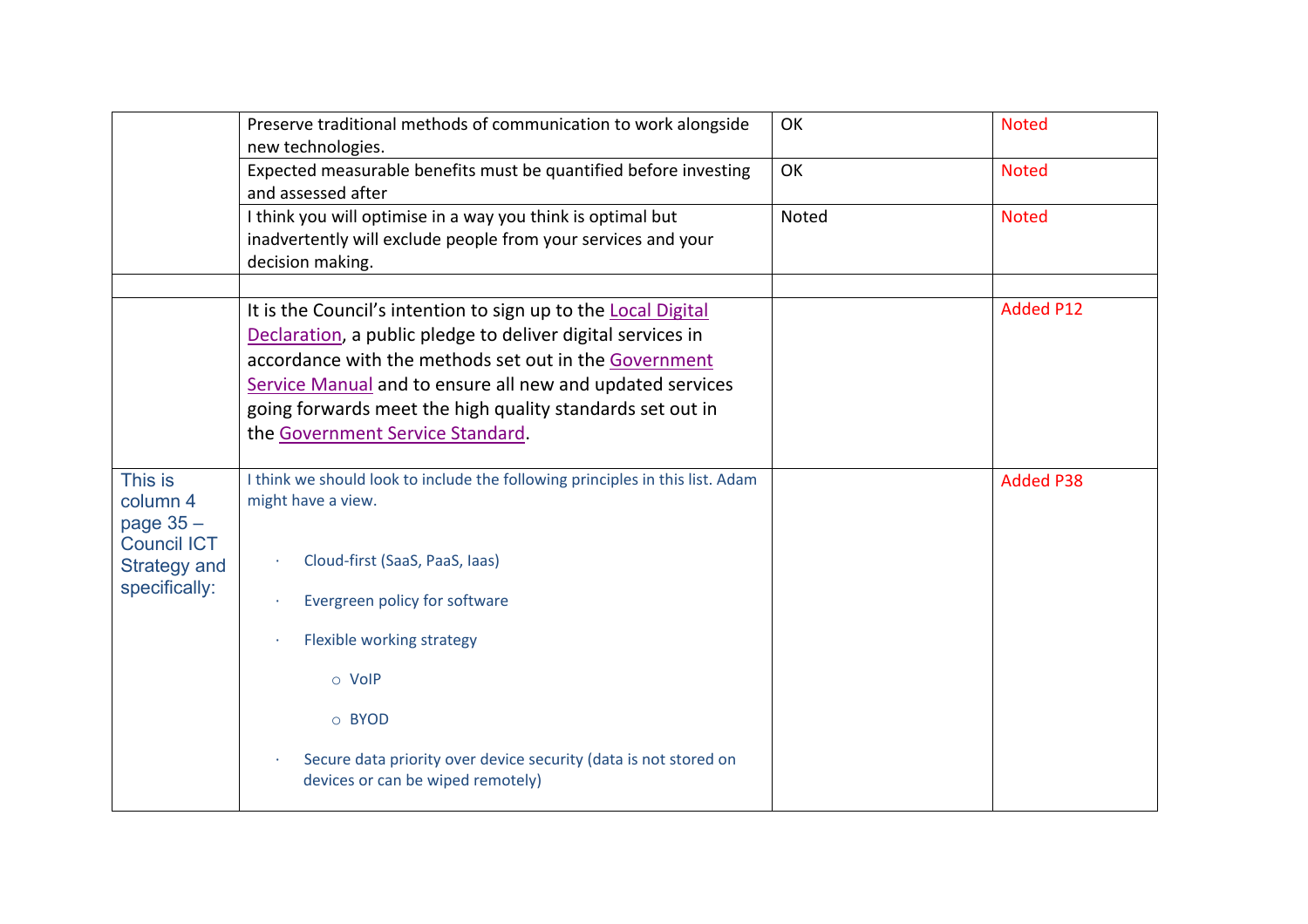|                                           | Preserve traditional methods of communication to work alongside<br>new technologies.                                                                                                                                                                                                                                                                | OK    | <b>Noted</b>     |
|-------------------------------------------|-----------------------------------------------------------------------------------------------------------------------------------------------------------------------------------------------------------------------------------------------------------------------------------------------------------------------------------------------------|-------|------------------|
|                                           | Expected measurable benefits must be quantified before investing<br>and assessed after                                                                                                                                                                                                                                                              | OK    | <b>Noted</b>     |
|                                           | I think you will optimise in a way you think is optimal but<br>inadvertently will exclude people from your services and your<br>decision making.                                                                                                                                                                                                    | Noted | <b>Noted</b>     |
|                                           | It is the Council's intention to sign up to the Local Digital<br>Declaration, a public pledge to deliver digital services in<br>accordance with the methods set out in the Government<br>Service Manual and to ensure all new and updated services<br>going forwards meet the high quality standards set out in<br>the Government Service Standard. |       | <b>Added P12</b> |
| This is<br>column 4<br>page $35 -$        | I think we should look to include the following principles in this list. Adam<br>might have a view.                                                                                                                                                                                                                                                 |       | <b>Added P38</b> |
| <b>Council ICT</b><br><b>Strategy and</b> | Cloud-first (SaaS, PaaS, Iaas)                                                                                                                                                                                                                                                                                                                      |       |                  |
| specifically:                             | Evergreen policy for software                                                                                                                                                                                                                                                                                                                       |       |                  |
|                                           | Flexible working strategy                                                                                                                                                                                                                                                                                                                           |       |                  |
|                                           | o VoIP                                                                                                                                                                                                                                                                                                                                              |       |                  |
|                                           | O BYOD                                                                                                                                                                                                                                                                                                                                              |       |                  |
|                                           | Secure data priority over device security (data is not stored on<br>devices or can be wiped remotely)                                                                                                                                                                                                                                               |       |                  |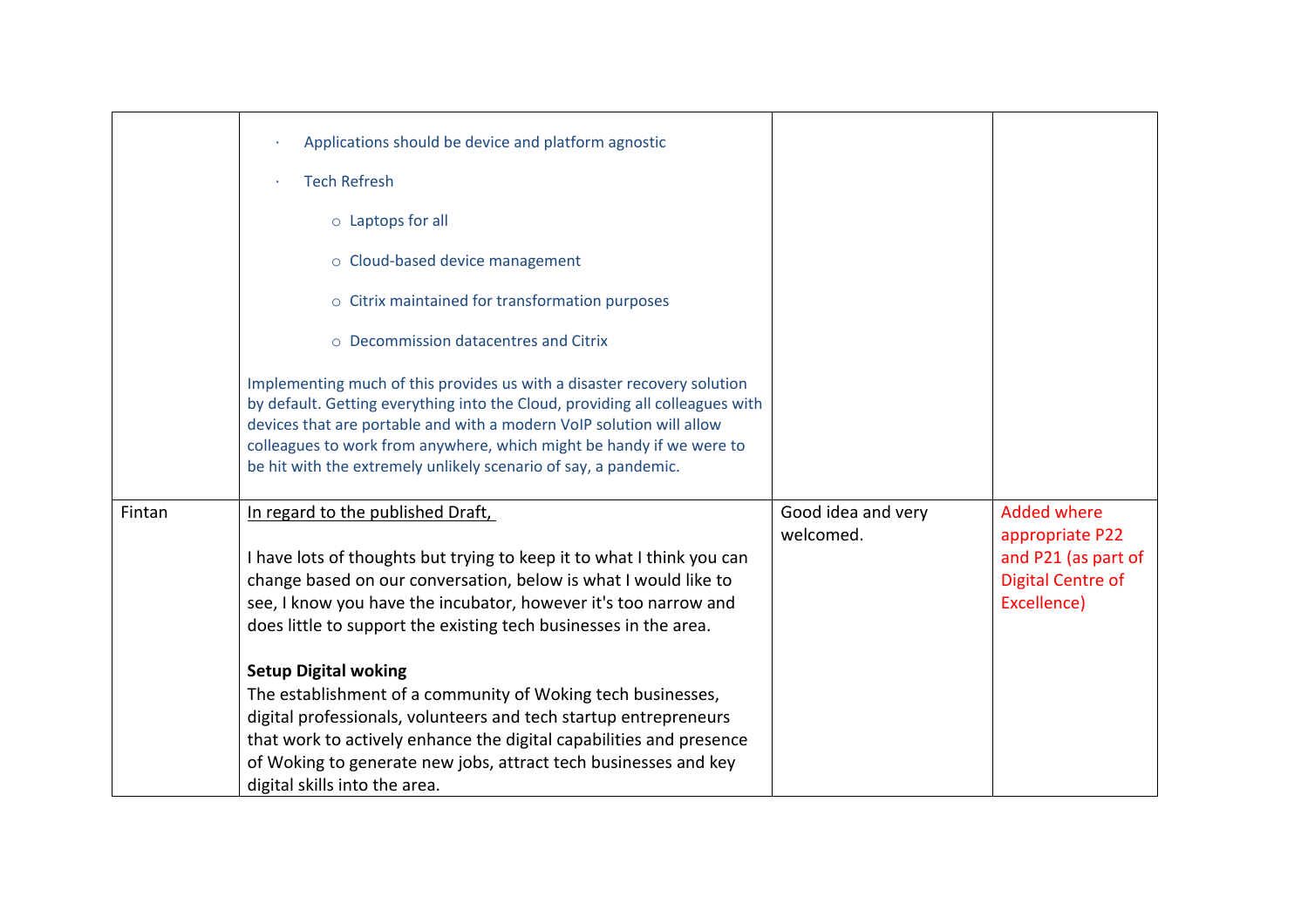|        | Applications should be device and platform agnostic                                                                                                                                                                                                                                                                                                                        |                                 |                                       |
|--------|----------------------------------------------------------------------------------------------------------------------------------------------------------------------------------------------------------------------------------------------------------------------------------------------------------------------------------------------------------------------------|---------------------------------|---------------------------------------|
|        | <b>Tech Refresh</b>                                                                                                                                                                                                                                                                                                                                                        |                                 |                                       |
|        | $\circ$ Laptops for all                                                                                                                                                                                                                                                                                                                                                    |                                 |                                       |
|        | o Cloud-based device management                                                                                                                                                                                                                                                                                                                                            |                                 |                                       |
|        | o Citrix maintained for transformation purposes                                                                                                                                                                                                                                                                                                                            |                                 |                                       |
|        | ○ Decommission datacentres and Citrix                                                                                                                                                                                                                                                                                                                                      |                                 |                                       |
|        | Implementing much of this provides us with a disaster recovery solution<br>by default. Getting everything into the Cloud, providing all colleagues with<br>devices that are portable and with a modern VoIP solution will allow<br>colleagues to work from anywhere, which might be handy if we were to<br>be hit with the extremely unlikely scenario of say, a pandemic. |                                 |                                       |
| Fintan | In regard to the published Draft,                                                                                                                                                                                                                                                                                                                                          | Good idea and very<br>welcomed. | <b>Added where</b><br>appropriate P22 |
|        | I have lots of thoughts but trying to keep it to what I think you can                                                                                                                                                                                                                                                                                                      |                                 | and P21 (as part of                   |
|        | change based on our conversation, below is what I would like to                                                                                                                                                                                                                                                                                                            |                                 | <b>Digital Centre of</b>              |
|        | see, I know you have the incubator, however it's too narrow and                                                                                                                                                                                                                                                                                                            |                                 | Excellence)                           |
|        | does little to support the existing tech businesses in the area.                                                                                                                                                                                                                                                                                                           |                                 |                                       |
|        | <b>Setup Digital woking</b>                                                                                                                                                                                                                                                                                                                                                |                                 |                                       |
|        | The establishment of a community of Woking tech businesses,                                                                                                                                                                                                                                                                                                                |                                 |                                       |
|        | digital professionals, volunteers and tech startup entrepreneurs                                                                                                                                                                                                                                                                                                           |                                 |                                       |
|        | that work to actively enhance the digital capabilities and presence                                                                                                                                                                                                                                                                                                        |                                 |                                       |
|        | of Woking to generate new jobs, attract tech businesses and key<br>digital skills into the area.                                                                                                                                                                                                                                                                           |                                 |                                       |
|        |                                                                                                                                                                                                                                                                                                                                                                            |                                 |                                       |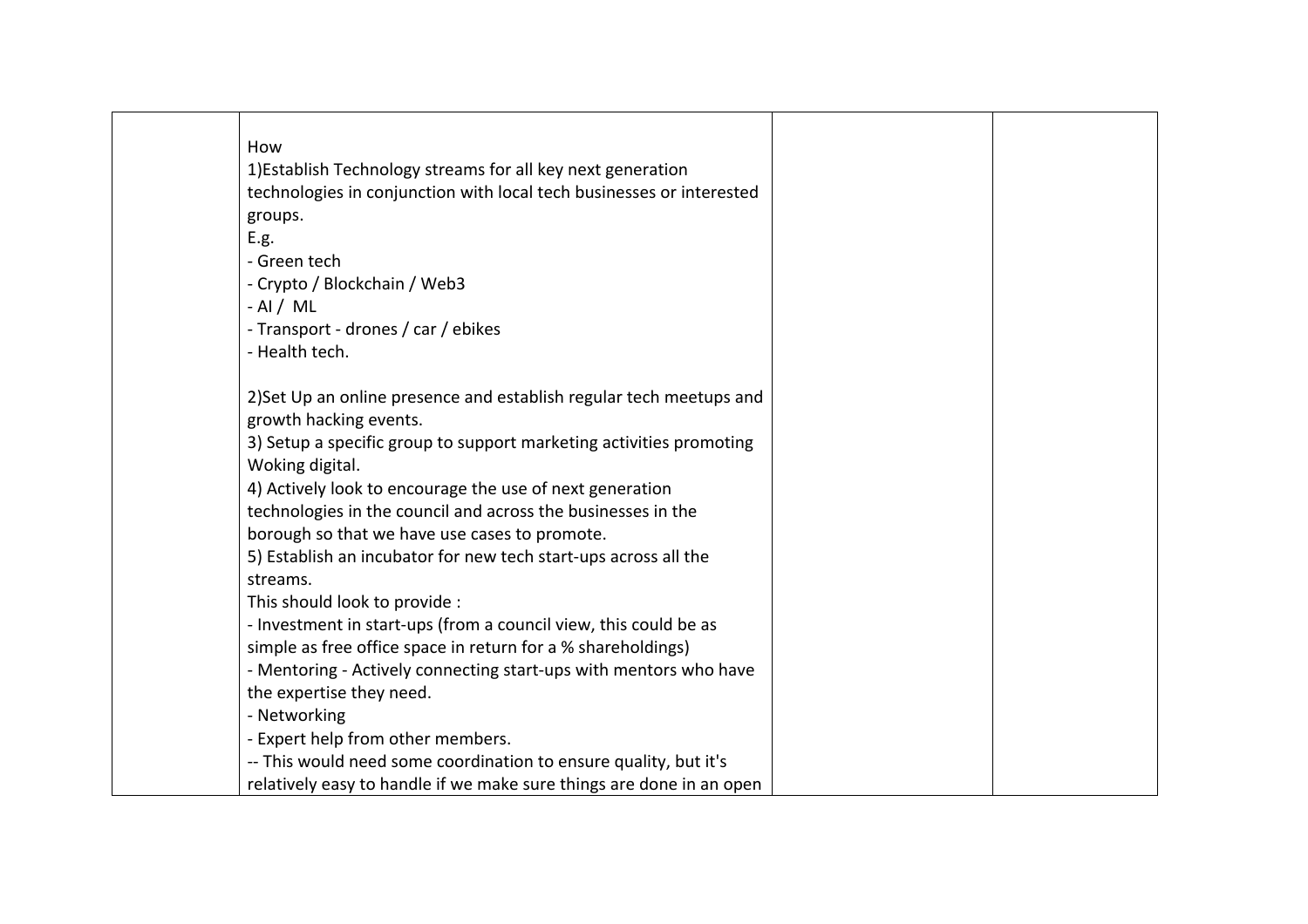| How                                                                  |  |
|----------------------------------------------------------------------|--|
| 1) Establish Technology streams for all key next generation          |  |
| technologies in conjunction with local tech businesses or interested |  |
| groups.                                                              |  |
| E.g.                                                                 |  |
| - Green tech                                                         |  |
| - Crypto / Blockchain / Web3                                         |  |
| $-$ Al / ML                                                          |  |
| - Transport - drones / car / ebikes                                  |  |
| - Health tech.                                                       |  |
|                                                                      |  |
| 2) Set Up an online presence and establish regular tech meetups and  |  |
| growth hacking events.                                               |  |
| 3) Setup a specific group to support marketing activities promoting  |  |
| Woking digital.                                                      |  |
| 4) Actively look to encourage the use of next generation             |  |
| technologies in the council and across the businesses in the         |  |
| borough so that we have use cases to promote.                        |  |
| 5) Establish an incubator for new tech start-ups across all the      |  |
| streams.                                                             |  |
| This should look to provide :                                        |  |
| - Investment in start-ups (from a council view, this could be as     |  |
| simple as free office space in return for a % shareholdings)         |  |
| - Mentoring - Actively connecting start-ups with mentors who have    |  |
| the expertise they need.                                             |  |
| - Networking                                                         |  |
| - Expert help from other members.                                    |  |
| -- This would need some coordination to ensure quality, but it's     |  |
| relatively easy to handle if we make sure things are done in an open |  |